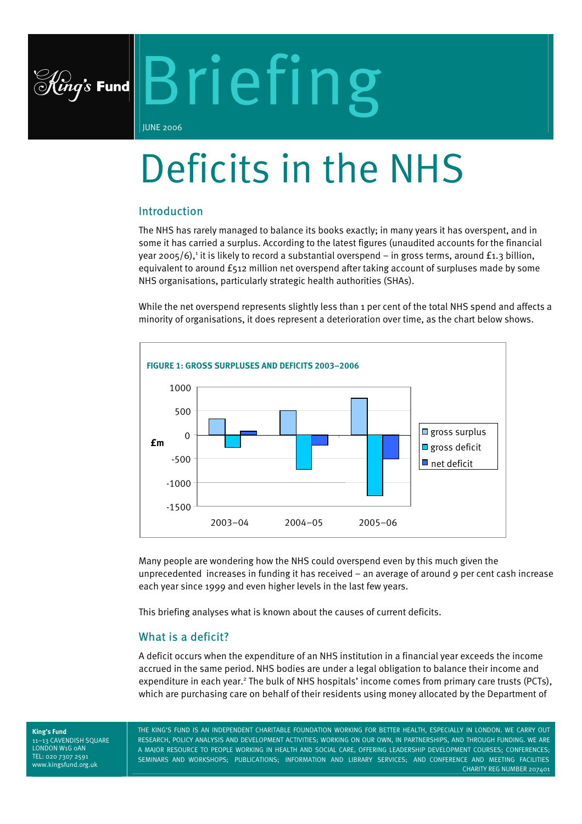

# Briefing

JUNE 2006

# Deficits in the NHS

# Introduction

The NHS has rarely managed to balance its books exactly; in many years it has overspent, and in some it has carried a surplus. According to the latest figures (unaudited accounts for the financial year 2005/6),<sup>[1](#page-7-0)</sup> it is likely to record a substantial overspend – in gross terms, around £1.3 billion, equivalent to around £512 million net overspend after taking account of surpluses made by some NHS organisations, particularly strategic health authorities (SHAs).

While the net overspend represents slightly less than 1 per cent of the total NHS spend and affects a minority of organisations, it does represent a deterioration over time, as the chart below shows.



Many people are wondering how the NHS could overspend even by this much given the unprecedented increases in funding it has received – an average of around 9 per cent cash increase each year since 1999 and even higher levels in the last few years.

This briefing analyses what is known about the causes of current deficits.

# What is a deficit?

A deficit occurs when the expenditure of an NHS institution in a financial year exceeds the income accrued in the same period. NHS bodies are under a legal obligation to balance their income and expenditure in each year.<sup>[2](#page-7-1)</sup> The bulk of NHS hospitals' income comes from primary care trusts (PCTs), which are purchasing care on behalf of their residents using money allocated by the Department of

**King's Fund**  11–13 CAVENDISH SQUARE LONDON W1G 0AN TEL: 020 7307 2591 www.kingsfund.org.uk

THE KING'S FUND IS AN INDEPENDENT CHARITABLE FOUNDATION WORKING FOR BETTER HEALTH, ESPECIALLY IN LONDON. WE CARRY OUT RESEARCH, POLICY ANALYSIS AND DEVELOPMENT ACTIVITIES; WORKING ON OUR OWN, IN PARTNERSHIPS, AND THROUGH FUNDING. WE ARE A MAJOR RESOURCE TO PEOPLE WORKING IN HEALTH AND SOCIAL CARE, OFFERING LEADERSHIP DEVELOPMENT COURSES; CONFERENCES; SEMINARS AND WORKSHOPS; PUBLICATIONS; INFORMATION AND LIBRARY SERVICES; AND CONFERENCE AND MEETING FACILITIES CHARITY REG NUMBER 207401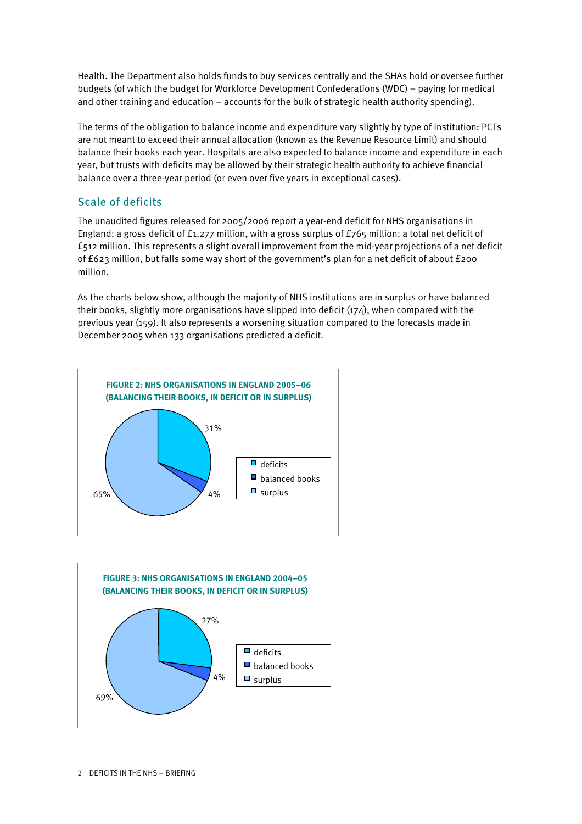Health. The Department also holds funds to buy services centrally and the SHAs hold or oversee further budgets (of which the budget for Workforce Development Confederations (WDC) – paying for medical and other training and education – accounts for the bulk of strategic health authority spending).

The terms of the obligation to balance income and expenditure vary slightly by type of institution: PCTs are not meant to exceed their annual allocation (known as the Revenue Resource Limit) and should balance their books each year. Hospitals are also expected to balance income and expenditure in each year, but trusts with deficits may be allowed by their strategic health authority to achieve financial balance over a three-year period (or even over five years in exceptional cases).

# Scale of deficits

The unaudited figures released for 2005/2006 report a year-end deficit for NHS organisations in England: a gross deficit of £1.277 million, with a gross surplus of £765 million: a total net deficit of £512 million. This represents a slight overall improvement from the mid-year projections of a net deficit of £623 million, but falls some way short of the government's plan for a net deficit of about £200 million.

As the charts below show, although the majority of NHS institutions are in surplus or have balanced their books, slightly more organisations have slipped into deficit (174), when compared with the previous year (159). It also represents a worsening situation compared to the forecasts made in December 2005 when 133 organisations predicted a deficit.



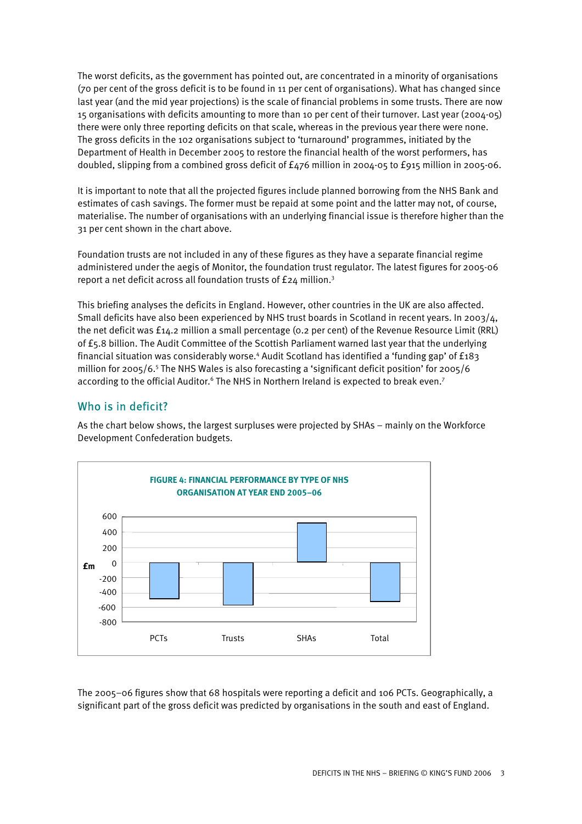The worst deficits, as the government has pointed out, are concentrated in a minority of organisations (70 per cent of the gross deficit is to be found in 11 per cent of organisations). What has changed since last year (and the mid year projections) is the scale of financial problems in some trusts. There are now 15 organisations with deficits amounting to more than 10 per cent of their turnover. Last year (2004-05) there were only three reporting deficits on that scale, whereas in the previous year there were none. The gross deficits in the 102 organisations subject to 'turnaround' programmes, initiated by the Department of Health in December 2005 to restore the financial health of the worst performers, has doubled, slipping from a combined gross deficit of £476 million in 2004-05 to £915 million in 2005-06.

It is important to note that all the projected figures include planned borrowing from the NHS Bank and estimates of cash savings. The former must be repaid at some point and the latter may not, of course, materialise. The number of organisations with an underlying financial issue is therefore higher than the 31 per cent shown in the chart above.

Foundation trusts are not included in any of these figures as they have a separate financial regime administered under the aegis of Monitor, the foundation trust regulator. The latest figures for 2005-06 report a net deficit across all foundation trusts of £24 million.<sup>[3](#page-7-2)</sup>

This briefing analyses the deficits in England. However, other countries in the UK are also affected. Small deficits have also been experienced by NHS trust boards in Scotland in recent years. In 2003/4, the net deficit was £14.2 million a small percentage (0.2 per cent) of the Revenue Resource Limit (RRL) of £5.8 billion. The Audit Committee of the Scottish Parliament warned last year that the underlying financial situation was considerably worse.<sup>4</sup> [A](#page-7-3)udit Scotland has identified a 'funding gap' of £183 million for 2005/6.<sup>5</sup> [T](#page-7-4)he NHS Wales is also forecasting a 'significant deficit position' for 2005/6 according to the official Auditor.<sup>6</sup> The NHS in Northern Ireland is expected to break even.<sup>[7](#page-7-6)</sup>

# Who is in deficit?

As the chart below shows, the largest surpluses were projected by SHAs – mainly on the Workforce Development Confederation budgets.



The 2005–06 figures show that 68 hospitals were reporting a deficit and 106 PCTs. Geographically, a significant part of the gross deficit was predicted by organisations in the south and east of England.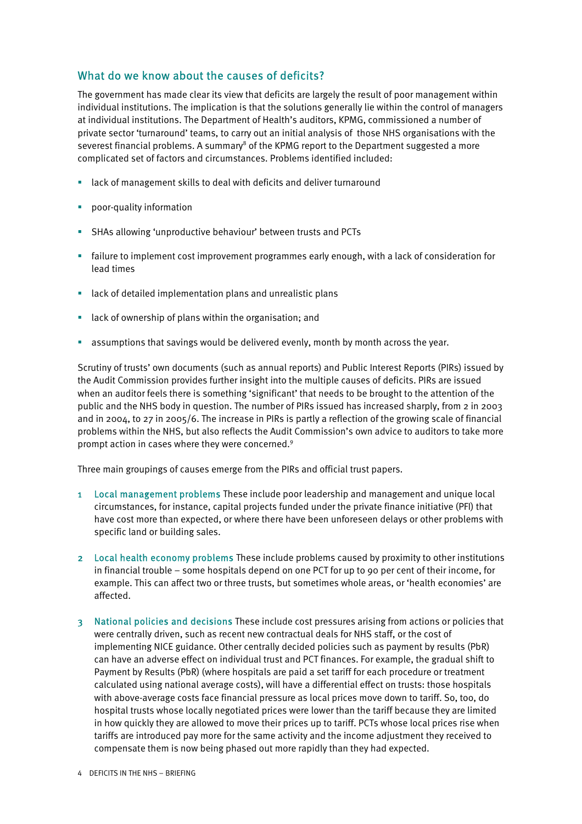# What do we know about the causes of deficits?

The government has made clear its view that deficits are largely the result of poor management within individual institutions. The implication is that the solutions generally lie within the control of managers at individual institutions. The Department of Health's auditors, KPMG, commissioned a number of private sector 'turnaround' teams, to carry out an initial analysis of those NHS organisations with the severest financial problems. A summary $^8$  $^8$  of the KPMG report to the Department suggested a more complicated set of factors and circumstances. Problems identified included:

- lack of management skills to deal with deficits and deliver turnaround
- **•** poor-quality information
- SHAs allowing 'unproductive behaviour' between trusts and PCTs
- failure to implement cost improvement programmes early enough, with a lack of consideration for lead times
- **EXTER 13 Incheffer 12** Iack of detailed implementation plans and unrealistic plans
- **EXTER** 1 ack of ownership of plans within the organisation; and
- **•** assumptions that savings would be delivered evenly, month by month across the year.

Scrutiny of trusts' own documents (such as annual reports) and Public Interest Reports (PIRs) issued by the Audit Commission provides further insight into the multiple causes of deficits. PIRs are issued when an auditor feels there is something 'significant' that needs to be brought to the attention of the public and the NHS body in question. The number of PIRs issued has increased sharply, from 2 in 2003 and in 2004, to 27 in 2005/6. The increase in PIRs is partly a reflection of the growing scale of financial problems within the NHS, but also reflects the Audit Commission's own advice to auditors to take more prompt action in cases where they were concerned.<sup>[9](#page-7-8)</sup>

Three main groupings of causes emerge from the PIRs and official trust papers.

- 1 Local management problems These include poor leadership and management and unique local circumstances, for instance, capital projects funded under the private finance initiative (PFI) that have cost more than expected, or where there have been unforeseen delays or other problems with specific land or building sales.
- 2 Local health economy problems These include problems caused by proximity to other institutions in financial trouble – some hospitals depend on one PCT for up to 90 per cent of their income, for example. This can affect two or three trusts, but sometimes whole areas, or 'health economies' are affected.
- 3 National policies and decisions These include cost pressures arising from actions or policies that were centrally driven, such as recent new contractual deals for NHS staff, or the cost of implementing NICE guidance. Other centrally decided policies such as payment by results (PbR) can have an adverse effect on individual trust and PCT finances. For example, the gradual shift to Payment by Results (PbR) (where hospitals are paid a set tariff for each procedure or treatment calculated using national average costs), will have a differential effect on trusts: those hospitals with above-average costs face financial pressure as local prices move down to tariff. So, too, do hospital trusts whose locally negotiated prices were lower than the tariff because they are limited in how quickly they are allowed to move their prices up to tariff. PCTs whose local prices rise when tariffs are introduced pay more for the same activity and the income adjustment they received to compensate them is now being phased out more rapidly than they had expected.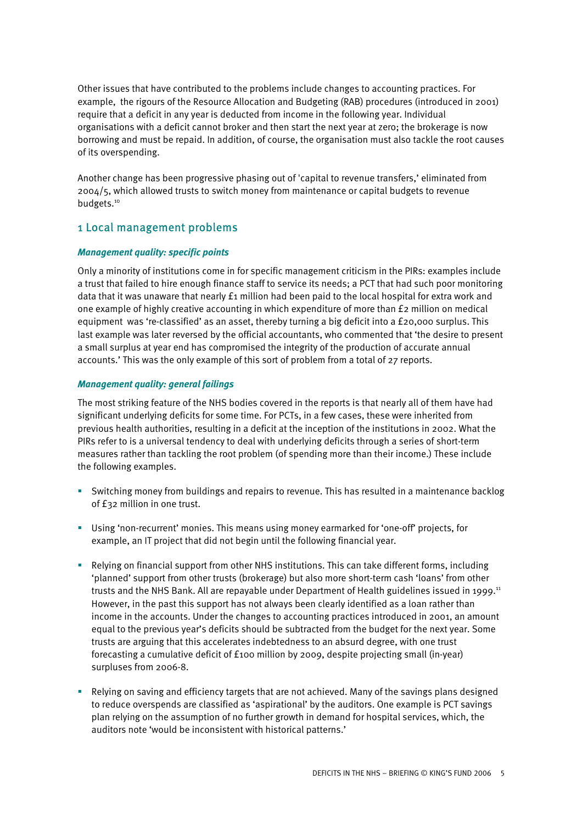Other issues that have contributed to the problems include changes to accounting practices. For example, the rigours of the Resource Allocation and Budgeting (RAB) procedures (introduced in 2001) require that a deficit in any year is deducted from income in the following year. Individual organisations with a deficit cannot broker and then start the next year at zero; the brokerage is now borrowing and must be repaid. In addition, of course, the organisation must also tackle the root causes of its overspending.

Another change has been progressive phasing out of 'capital to revenue transfers,' eliminated from 2004/5, which allowed trusts to switch money from maintenance or capital budgets to revenue budgets.<sup>10</sup>

# 1 Local management problems

#### *Management quality: specific points*

Only a minority of institutions come in for specific management criticism in the PIRs: examples include a trust that failed to hire enough finance staff to service its needs; a PCT that had such poor monitoring data that it was unaware that nearly £1 million had been paid to the local hospital for extra work and one example of highly creative accounting in which expenditure of more than £2 million on medical equipment was 're-classified' as an asset, thereby turning a big deficit into a £20,000 surplus. This last example was later reversed by the official accountants, who commented that 'the desire to present a small surplus at year end has compromised the integrity of the production of accurate annual accounts.' This was the only example of this sort of problem from a total of 27 reports.

#### *Management quality: general failings*

The most striking feature of the NHS bodies covered in the reports is that nearly all of them have had significant underlying deficits for some time. For PCTs, in a few cases, these were inherited from previous health authorities, resulting in a deficit at the inception of the institutions in 2002. What the PIRs refer to is a universal tendency to deal with underlying deficits through a series of short-term measures rather than tackling the root problem (of spending more than their income.) These include the following examples.

- Switching money from buildings and repairs to revenue. This has resulted in a maintenance backlog of £32 million in one trust.
- Using 'non-recurrent' monies. This means using money earmarked for 'one-off' projects, for example, an IT project that did not begin until the following financial year.
- Relying on financial support from other NHS institutions. This can take different forms, including 'planned' support from other trusts (brokerage) but also more short-term cash 'loans' from other trusts and the NHS Bank. All are repayable under Department of Health guidelines issued in 1999.<sup>11</sup> However, in the past this support has not always been clearly identified as a loan rather than income in the accounts. Under the changes to accounting practices introduced in 2001, an amount equal to the previous year's deficits should be subtracted from the budget for the next year. Some trusts are arguing that this accelerates indebtedness to an absurd degree, with one trust forecasting a cumulative deficit of £100 million by 2009, despite projecting small (in-year) surpluses from 2006-8.
- Relying on saving and efficiency targets that are not achieved. Many of the savings plans designed to reduce overspends are classified as 'aspirational' by the auditors. One example is PCT savings plan relying on the assumption of no further growth in demand for hospital services, which, the auditors note 'would be inconsistent with historical patterns.'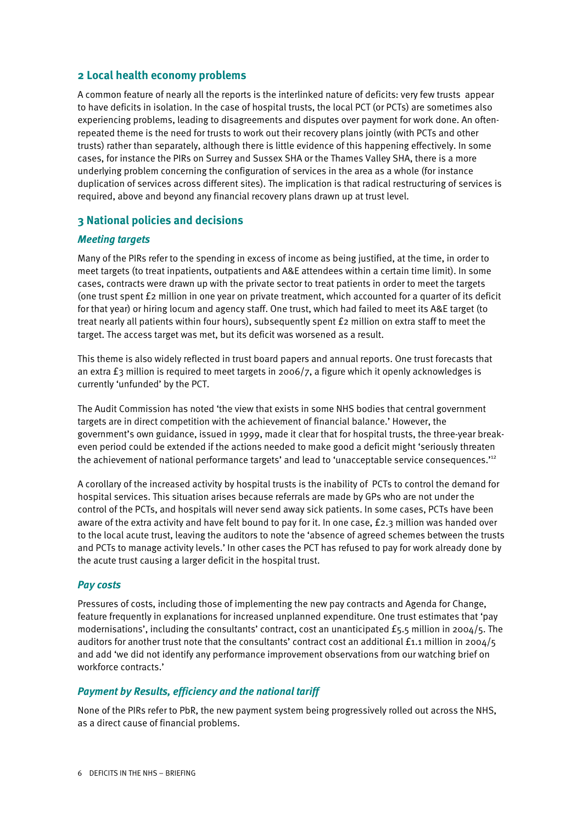#### **2 Local health economy problems**

A common feature of nearly all the reports is the interlinked nature of deficits: very few trusts appear to have deficits in isolation. In the case of hospital trusts, the local PCT (or PCTs) are sometimes also experiencing problems, leading to disagreements and disputes over payment for work done. An oftenrepeated theme is the need for trusts to work out their recovery plans jointly (with PCTs and other trusts) rather than separately, although there is little evidence of this happening effectively. In some cases, for instance the PIRs on Surrey and Sussex SHA or the Thames Valley SHA, there is a more underlying problem concerning the configuration of services in the area as a whole (for instance duplication of services across different sites). The implication is that radical restructuring of services is required, above and beyond any financial recovery plans drawn up at trust level.

#### **3 National policies and decisions**

#### *Meeting targets*

Many of the PIRs refer to the spending in excess of income as being justified, at the time, in order to meet targets (to treat inpatients, outpatients and A&E attendees within a certain time limit). In some cases, contracts were drawn up with the private sector to treat patients in order to meet the targets (one trust spent £2 million in one year on private treatment, which accounted for a quarter of its deficit for that year) or hiring locum and agency staff. One trust, which had failed to meet its A&E target (to treat nearly all patients within four hours), subsequently spent £2 million on extra staff to meet the target. The access target was met, but its deficit was worsened as a result.

This theme is also widely reflected in trust board papers and annual reports. One trust forecasts that an extra £3 million is required to meet targets in 2006/7, a figure which it openly acknowledges is currently 'unfunded' by the PCT.

The Audit Commission has noted 'the view that exists in some NHS bodies that central government targets are in direct competition with the achievement of financial balance.' However, the government's own guidance, issued in 1999, made it clear that for hospital trusts, the three-year breakeven period could be extended if the actions needed to make good a deficit might 'seriously threaten theachievement of national performance targets' and lead to 'unacceptable service consequences.'<sup>12</sup>

A corollary of the increased activity by hospital trusts is the inability of PCTs to control the demand for hospital services. This situation arises because referrals are made by GPs who are not under the control of the PCTs, and hospitals will never send away sick patients. In some cases, PCTs have been aware of the extra activity and have felt bound to pay for it. In one case, £2.3 million was handed over to the local acute trust, leaving the auditors to note the 'absence of agreed schemes between the trusts and PCTs to manage activity levels.' In other cases the PCT has refused to pay for work already done by the acute trust causing a larger deficit in the hospital trust.

#### *Pay costs*

Pressures of costs, including those of implementing the new pay contracts and Agenda for Change, feature frequently in explanations for increased unplanned expenditure. One trust estimates that 'pay modernisations', including the consultants' contract, cost an unanticipated £5.5 million in 2004/5. The auditors for another trust note that the consultants' contract cost an additional £1.1 million in 2004/5 and add 'we did not identify any performance improvement observations from our watching brief on workforce contracts.'

#### *Payment by Results, efficiency and the national tariff*

None of the PIRs refer to PbR, the new payment system being progressively rolled out across the NHS, as a direct cause of financial problems.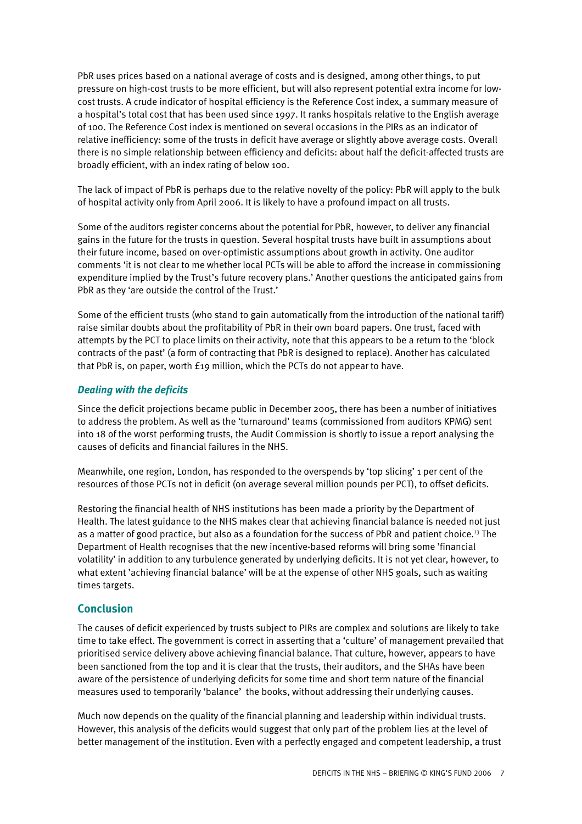PbR uses prices based on a national average of costs and is designed, among other things, to put pressure on high-cost trusts to be more efficient, but will also represent potential extra income for lowcost trusts. A crude indicator of hospital efficiency is the Reference Cost index, a summary measure of a hospital's total cost that has been used since 1997. It ranks hospitals relative to the English average of 100. The Reference Cost index is mentioned on several occasions in the PIRs as an indicator of relative inefficiency: some of the trusts in deficit have average or slightly above average costs. Overall there is no simple relationship between efficiency and deficits: about half the deficit-affected trusts are broadly efficient, with an index rating of below 100.

The lack of impact of PbR is perhaps due to the relative novelty of the policy: PbR will apply to the bulk of hospital activity only from April 2006. It is likely to have a profound impact on all trusts.

Some of the auditors register concerns about the potential for PbR, however, to deliver any financial gains in the future for the trusts in question. Several hospital trusts have built in assumptions about their future income, based on over-optimistic assumptions about growth in activity. One auditor comments 'it is not clear to me whether local PCTs will be able to afford the increase in commissioning expenditure implied by the Trust's future recovery plans.' Another questions the anticipated gains from PbR as they 'are outside the control of the Trust.'

Some of the efficient trusts (who stand to gain automatically from the introduction of the national tariff) raise similar doubts about the profitability of PbR in their own board papers. One trust, faced with attempts by the PCT to place limits on their activity, note that this appears to be a return to the 'block contracts of the past' (a form of contracting that PbR is designed to replace). Another has calculated that PbR is, on paper, worth £19 million, which the PCTs do not appear to have.

#### *Dealing with the deficits*

Since the deficit projections became public in December 2005, there has been a number of initiatives to address the problem. As well as the 'turnaround' teams (commissioned from auditors KPMG) sent into 18 of the worst performing trusts, the Audit Commission is shortly to issue a report analysing the causes of deficits and financial failures in the NHS.

Meanwhile, one region, London, has responded to the overspends by 'top slicing' 1 per cent of the resources of those PCTs not in deficit (on average several million pounds per PCT), to offset deficits.

Restoring the financial health of NHS institutions has been made a priority by the Department of Health. The latest guidance to the NHS makes clear that achieving financial balance is needed not just as a matter of good practice, but also as a foundation for the success of PbR and patient choice.<sup>13</sup> The Department of Health recognises that the new incentive-based reforms will bring some 'financia[l](#page-7-12)  volatility' in addition to any turbulence generated by underlying deficits. It is not yet clear, however, to what extent 'achieving financial balance' will be at the expense of other NHS goals, such as waiting times targets.

#### **Conclusion**

The causes of deficit experienced by trusts subject to PIRs are complex and solutions are likely to take time to take effect. The government is correct in asserting that a 'culture' of management prevailed that prioritised service delivery above achieving financial balance. That culture, however, appears to have been sanctioned from the top and it is clear that the trusts, their auditors, and the SHAs have been aware of the persistence of underlying deficits for some time and short term nature of the financial measures used to temporarily 'balance' the books, without addressing their underlying causes.

Much now depends on the quality of the financial planning and leadership within individual trusts. However, this analysis of the deficits would suggest that only part of the problem lies at the level of better management of the institution. Even with a perfectly engaged and competent leadership, a trust